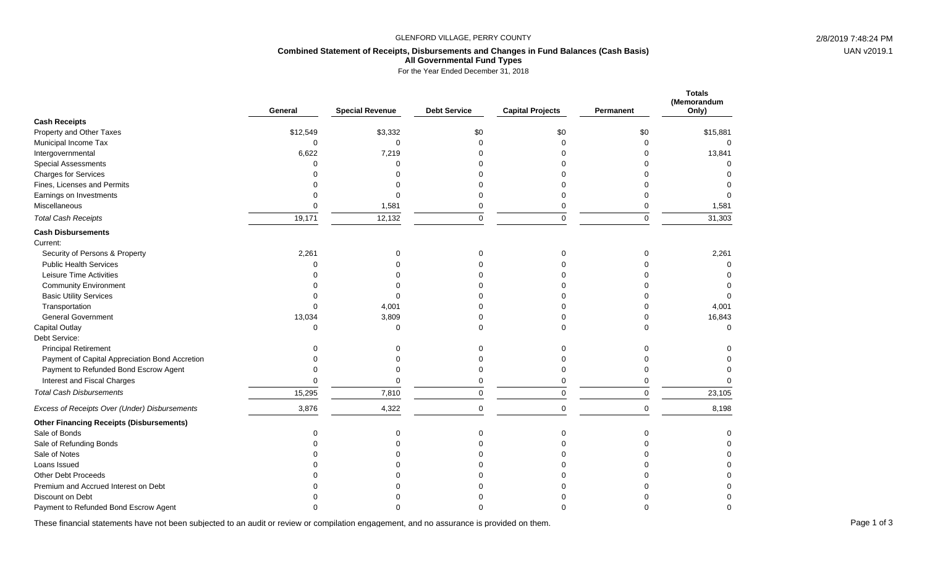## GLENFORD VILLAGE, PERRY COUNTY 2/8/2019 7:48:24 PM

# **Combined Statement of Receipts, Disbursements and Changes in Fund Balances (Cash Basis) All Governmental Fund Types**

For the Year Ended December 31, 2018

|                                                 | General  | <b>Special Revenue</b> | <b>Debt Service</b> | <b>Capital Projects</b> | Permanent   | <b>Totals</b><br>(Memorandum<br>Only) |
|-------------------------------------------------|----------|------------------------|---------------------|-------------------------|-------------|---------------------------------------|
| <b>Cash Receipts</b>                            |          |                        |                     |                         |             |                                       |
| Property and Other Taxes                        | \$12,549 | \$3,332                | \$0                 | \$0                     | \$0         | \$15,881                              |
| Municipal Income Tax                            | $\Omega$ | $\Omega$               | $\Omega$            | $\Omega$                | $\mathbf 0$ | $\Omega$                              |
| Intergovernmental                               | 6,622    | 7,219                  |                     | ŋ                       | $\Omega$    | 13,841                                |
| <b>Special Assessments</b>                      | ∩        | $\Omega$               |                     | U                       | $\Omega$    |                                       |
| <b>Charges for Services</b>                     |          | ∩                      |                     |                         | $\Omega$    |                                       |
| Fines, Licenses and Permits                     |          | $\Omega$               |                     |                         | $\Omega$    |                                       |
| Earnings on Investments                         |          | $\Omega$               |                     | 0                       | $\Omega$    |                                       |
| Miscellaneous                                   | $\Omega$ | 1,581                  | 0                   | 0                       | $\mathbf 0$ | 1,581                                 |
| <b>Total Cash Receipts</b>                      | 19,171   | 12,132                 | 0                   | $\pmb{0}$               | $\mathbf 0$ | 31,303                                |
| <b>Cash Disbursements</b>                       |          |                        |                     |                         |             |                                       |
| Current:                                        |          |                        |                     |                         |             |                                       |
| Security of Persons & Property                  | 2,261    | $\Omega$               | 0                   | O                       | 0           | 2,261                                 |
| <b>Public Health Services</b>                   | $\Omega$ | $\Omega$               |                     |                         | $\Omega$    | $\Omega$                              |
| Leisure Time Activities                         |          |                        |                     |                         | 0           |                                       |
| <b>Community Environment</b>                    | U        | C                      |                     |                         | $\Omega$    | O                                     |
| <b>Basic Utility Services</b>                   | $\Omega$ | ∩                      |                     | U                       | $\Omega$    | $\Omega$                              |
| Transportation                                  | $\Omega$ | 4,001                  |                     | $\Omega$                | $\Omega$    | 4,001                                 |
| <b>General Government</b>                       | 13,034   | 3,809                  |                     | $\Omega$                | $\Omega$    | 16,843                                |
| Capital Outlay                                  | $\Omega$ | $\Omega$               | 0                   | $\Omega$                | $\Omega$    | $\Omega$                              |
| Debt Service:                                   |          |                        |                     |                         |             |                                       |
| <b>Principal Retirement</b>                     |          | $\Omega$               | 0                   | ŋ                       | 0           |                                       |
| Payment of Capital Appreciation Bond Accretion  |          | 0                      | 0                   |                         | 0           |                                       |
| Payment to Refunded Bond Escrow Agent           | $\Omega$ | 0                      | 0                   | $\mathbf 0$             | $\mathbf 0$ | 0                                     |
| Interest and Fiscal Charges                     | $\Omega$ | $\Omega$               | 0                   | 0                       | $\mathbf 0$ | $\Omega$                              |
| <b>Total Cash Disbursements</b>                 | 15,295   | 7,810                  | 0                   | $\mathbf 0$             | $\mathbf 0$ | 23,105                                |
| Excess of Receipts Over (Under) Disbursements   | 3,876    | 4,322                  | $\mathbf 0$         | $\mathbf 0$             | $\Omega$    | 8,198                                 |
| <b>Other Financing Receipts (Disbursements)</b> |          |                        |                     |                         |             |                                       |
| Sale of Bonds                                   | 0        | $\mathbf 0$            | 0                   | $\mathbf 0$             | 0           | 0                                     |
| Sale of Refunding Bonds                         | O        | ∩                      | U                   |                         | $\Omega$    | $\Omega$                              |
| Sale of Notes                                   |          |                        |                     |                         | $\Omega$    | O                                     |
| Loans Issued                                    |          |                        |                     |                         | $\Omega$    | $\Omega$                              |
| <b>Other Debt Proceeds</b>                      |          |                        |                     |                         | $\Omega$    | $\Omega$                              |
| Premium and Accrued Interest on Debt            |          |                        |                     |                         | U           |                                       |
| Discount on Debt                                |          |                        |                     |                         |             | $\Omega$                              |
| Payment to Refunded Bond Escrow Agent           |          |                        |                     |                         | ∩           | ∩                                     |

These financial statements have not been subjected to an audit or review or compilation engagement, and no assurance is provided on them.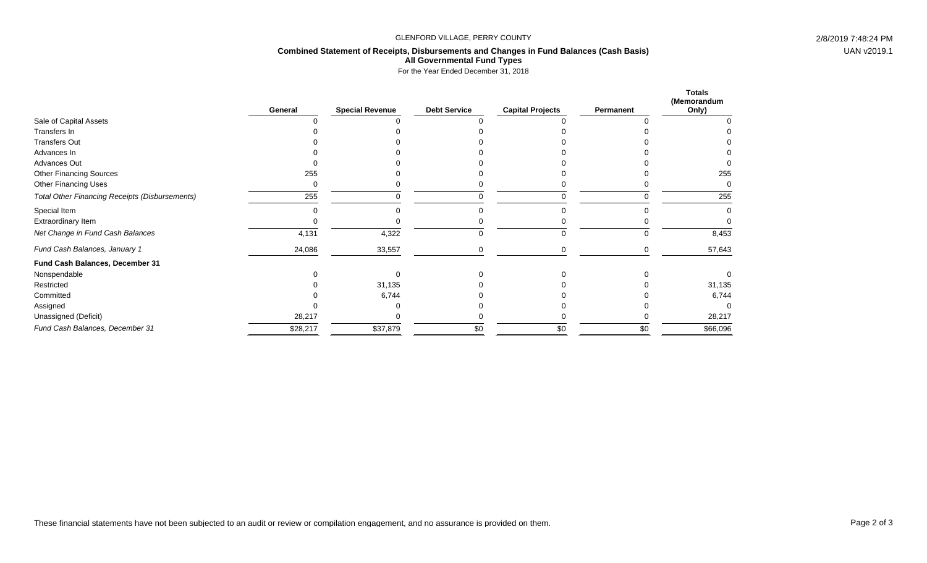## GLENFORD VILLAGE, PERRY COUNTY 2/8/2019 7:48:24 PM

# **Combined Statement of Receipts, Disbursements and Changes in Fund Balances (Cash Basis) All Governmental Fund Types**

For the Year Ended December 31, 2018

|                                                | General  | <b>Special Revenue</b> | <b>Debt Service</b> | <b>Capital Projects</b> | Permanent | <b>Totals</b><br>(Memorandum<br>Only) |
|------------------------------------------------|----------|------------------------|---------------------|-------------------------|-----------|---------------------------------------|
| Sale of Capital Assets                         |          |                        |                     |                         |           |                                       |
| Transfers In                                   |          |                        |                     |                         |           |                                       |
| <b>Transfers Out</b>                           |          |                        |                     |                         |           |                                       |
| Advances In                                    |          |                        |                     |                         |           |                                       |
| <b>Advances Out</b>                            |          |                        |                     |                         |           |                                       |
| <b>Other Financing Sources</b>                 | 255      |                        |                     |                         |           | 255                                   |
| Other Financing Uses                           |          |                        |                     |                         |           |                                       |
| Total Other Financing Receipts (Disbursements) | 255      |                        |                     |                         |           | 255                                   |
| Special Item                                   |          |                        |                     |                         |           |                                       |
| Extraordinary Item                             |          |                        |                     |                         |           |                                       |
| Net Change in Fund Cash Balances               | 4,131    | 4,322                  | 0                   | 0                       | 0         | 8,453                                 |
| Fund Cash Balances, January 1                  | 24,086   | 33,557                 |                     |                         |           | 57,643                                |
| Fund Cash Balances, December 31                |          |                        |                     |                         |           |                                       |
| Nonspendable                                   |          |                        |                     |                         |           |                                       |
| Restricted                                     |          | 31,135                 |                     |                         |           | 31,135                                |
| Committed                                      |          | 6,744                  |                     |                         |           | 6,744                                 |
| Assigned                                       |          |                        |                     |                         |           |                                       |
| Unassigned (Deficit)                           | 28,217   |                        |                     |                         |           | 28,217                                |
| Fund Cash Balances, December 31                | \$28,217 | \$37,879               | \$0                 | \$0                     | \$0       | \$66,096                              |